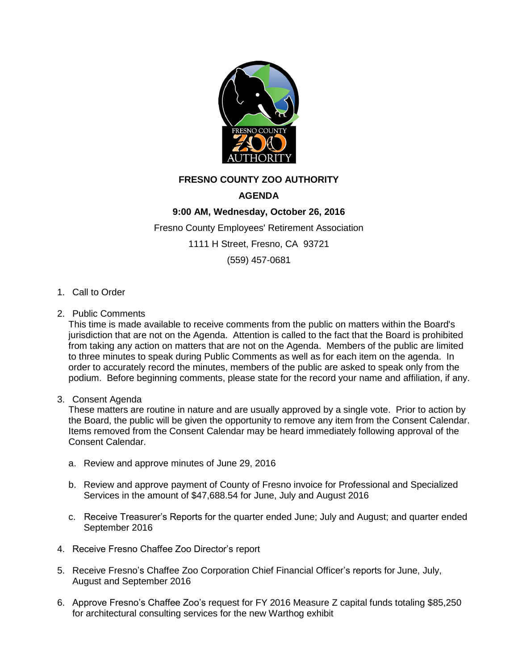

## **FRESNO COUNTY ZOO AUTHORITY**

## **AGENDA**

## **9:00 AM, Wednesday, October 26, 2016**

Fresno County Employees' Retirement Association

1111 H Street, Fresno, CA 93721

(559) 457-0681

- 1. Call to Order
- 2. Public Comments

This time is made available to receive comments from the public on matters within the Board's jurisdiction that are not on the Agenda. Attention is called to the fact that the Board is prohibited from taking any action on matters that are not on the Agenda. Members of the public are limited to three minutes to speak during Public Comments as well as for each item on the agenda. In order to accurately record the minutes, members of the public are asked to speak only from the podium. Before beginning comments, please state for the record your name and affiliation, if any.

3. Consent Agenda

These matters are routine in nature and are usually approved by a single vote. Prior to action by the Board, the public will be given the opportunity to remove any item from the Consent Calendar. Items removed from the Consent Calendar may be heard immediately following approval of the Consent Calendar.

- a. Review and approve minutes of June 29, 2016
- b. Review and approve payment of County of Fresno invoice for Professional and Specialized Services in the amount of \$47,688.54 for June, July and August 2016
- c. Receive Treasurer's Reports for the quarter ended June; July and August; and quarter ended September 2016
- 4. Receive Fresno Chaffee Zoo Director's report
- 5. Receive Fresno's Chaffee Zoo Corporation Chief Financial Officer's reports for June, July, August and September 2016
- 6. Approve Fresno's Chaffee Zoo's request for FY 2016 Measure Z capital funds totaling \$85,250 for architectural consulting services for the new Warthog exhibit